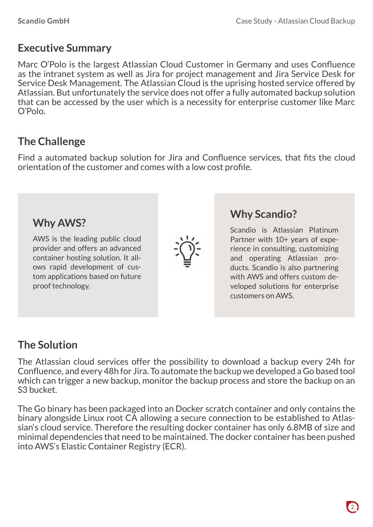# **Executive Summary**

Marc O'Polo is the largest Atlassian Cloud Customer in Germany and uses Confluence as the intranet system as well as Jira for project management and Jira Service Desk for Service Desk Management. The Atlassian Cloud is the uprising hosted service offered by Atlassian. But unfortunately the service does not offer a fully automated backup solution that can be accessed by the user which is a necessity for enterprise customer like Marc O'Polo.

## **The Challenge**

Find a automated backup solution for Jira and Confluence services, that fits the cloud orientation of the customer and comes with a low cost profile.

AWS is the leading public cloud provider and offers an advanced container hosting solution. It allows rapid development of custom applications based on future proof technology.



#### **Why Scandio?**

**Why AWS?** Scandio is Atlassian Platinum Partner with 10+ years of experience in consulting, customizing and operating Atlassian products. Scandio is also partnering with AWS and offers custom developed solutions for enterprise customers on AWS.

# **The Solution**

The Atlassian cloud services offer the possibility to download a backup every 24h for Confluence, and every 48h for Jira. To automate the backup we developed a Go based tool which can trigger a new backup, monitor the backup process and store the backup on an S3 bucket.

The Go binary has been packaged into an Docker scratch container and only contains the binary alongside Linux root CA allowing a secure connection to be established to Atlassian's cloud service. Therefore the resulting docker container has only 6.8MB of size and minimal dependencies that need to be maintained. The docker container has been pushed into AWS's Elastic Container Registry (ECR).